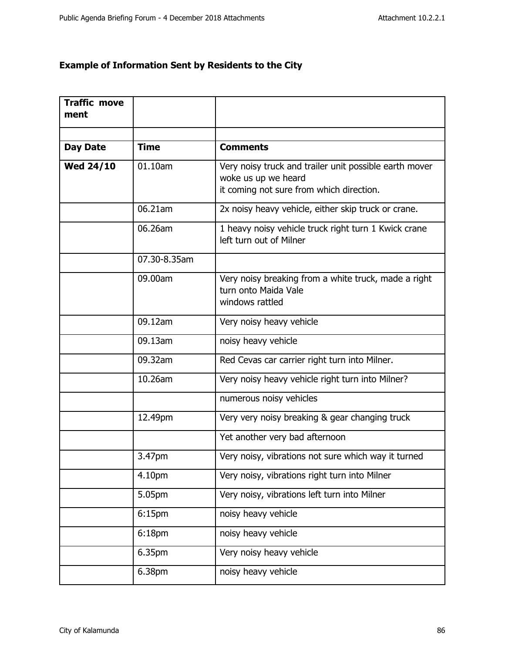## **Example of Information Sent by Residents to the City**

| <b>Traffic move</b><br>ment |              |                                                                                                                           |
|-----------------------------|--------------|---------------------------------------------------------------------------------------------------------------------------|
|                             |              |                                                                                                                           |
| <b>Day Date</b>             | <b>Time</b>  | <b>Comments</b>                                                                                                           |
| <b>Wed 24/10</b>            | 01.10am      | Very noisy truck and trailer unit possible earth mover<br>woke us up we heard<br>it coming not sure from which direction. |
|                             | 06.21am      | 2x noisy heavy vehicle, either skip truck or crane.                                                                       |
|                             | 06.26am      | 1 heavy noisy vehicle truck right turn 1 Kwick crane<br>left turn out of Milner                                           |
|                             | 07.30-8.35am |                                                                                                                           |
|                             | 09.00am      | Very noisy breaking from a white truck, made a right<br>turn onto Maida Vale<br>windows rattled                           |
|                             | 09.12am      | Very noisy heavy vehicle                                                                                                  |
|                             | 09.13am      | noisy heavy vehicle                                                                                                       |
|                             | 09.32am      | Red Cevas car carrier right turn into Milner.                                                                             |
|                             | 10.26am      | Very noisy heavy vehicle right turn into Milner?                                                                          |
|                             |              | numerous noisy vehicles                                                                                                   |
|                             | 12.49pm      | Very very noisy breaking & gear changing truck                                                                            |
|                             |              | Yet another very bad afternoon                                                                                            |
|                             | 3.47pm       | Very noisy, vibrations not sure which way it turned                                                                       |
|                             | 4.10pm       | Very noisy, vibrations right turn into Milner                                                                             |
|                             | 5.05pm       | Very noisy, vibrations left turn into Milner                                                                              |
|                             | 6:15pm       | noisy heavy vehicle                                                                                                       |
|                             | 6:18pm       | noisy heavy vehicle                                                                                                       |
|                             | 6.35pm       | Very noisy heavy vehicle                                                                                                  |
|                             | 6.38pm       | noisy heavy vehicle                                                                                                       |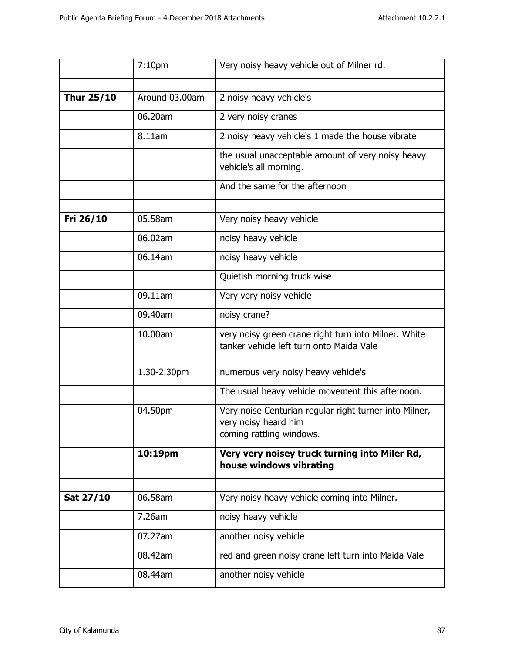|            | 7:10 <sub>pm</sub> | Very noisy heavy vehicle out of Milner rd.                                                                 |
|------------|--------------------|------------------------------------------------------------------------------------------------------------|
|            |                    |                                                                                                            |
| Thur 25/10 | Around 03.00am     | 2 noisy heavy vehicle's                                                                                    |
|            | 06.20am            | 2 very noisy cranes                                                                                        |
|            | 8.11am             | 2 noisy heavy vehicle's 1 made the house vibrate                                                           |
|            |                    | the usual unacceptable amount of very noisy heavy<br>vehicle's all morning.                                |
|            |                    | And the same for the afternoon                                                                             |
| Fri 26/10  | 05.58am            | Very noisy heavy vehicle                                                                                   |
|            |                    |                                                                                                            |
|            | 06.02am            | noisy heavy vehicle                                                                                        |
|            | 06.14am            | noisy heavy vehicle                                                                                        |
|            |                    | Quietish morning truck wise                                                                                |
|            | 09.11am            | Very very noisy vehicle                                                                                    |
|            | 09.40am            | noisy crane?                                                                                               |
|            | 10.00am            | very noisy green crane right turn into Milner. White<br>tanker vehicle left turn onto Maida Vale           |
|            | 1.30-2.30pm        | numerous very noisy heavy vehicle's                                                                        |
|            |                    | The usual heavy vehicle movement this afternoon.                                                           |
|            | 04.50pm            | Very noise Centurian regular right turner into Milner,<br>very noisy heard him<br>coming rattling windows. |
|            | 10:19pm            | Very very noisey truck turning into Miler Rd,<br>house windows vibrating                                   |
|            |                    |                                                                                                            |
| Sat 27/10  | 06.58am            | Very noisy heavy vehicle coming into Milner.                                                               |
|            | 7.26am             | noisy heavy vehicle                                                                                        |
|            | 07.27am            | another noisy vehicle                                                                                      |
|            | 08.42am            | red and green noisy crane left turn into Maida Vale                                                        |
|            | 08.44am            | another noisy vehicle                                                                                      |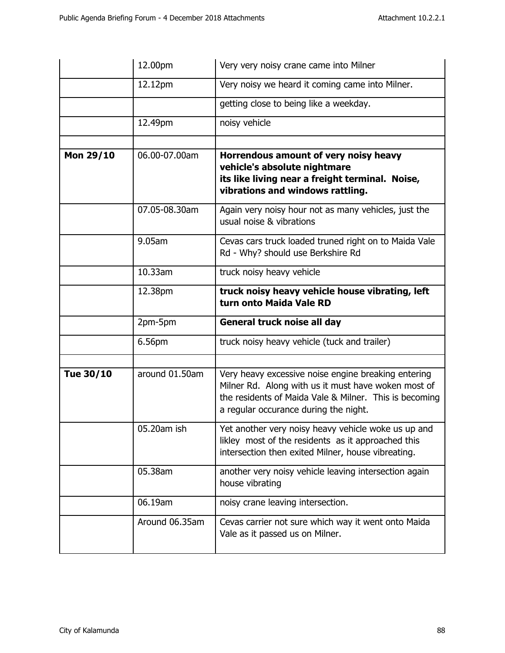|           | 12.00pm        | Very very noisy crane came into Milner                                                                                                                                                                        |
|-----------|----------------|---------------------------------------------------------------------------------------------------------------------------------------------------------------------------------------------------------------|
|           | 12.12pm        | Very noisy we heard it coming came into Milner.                                                                                                                                                               |
|           |                | getting close to being like a weekday.                                                                                                                                                                        |
|           | 12.49pm        | noisy vehicle                                                                                                                                                                                                 |
|           |                |                                                                                                                                                                                                               |
| Mon 29/10 | 06.00-07.00am  | Horrendous amount of very noisy heavy<br>vehicle's absolute nightmare<br>its like living near a freight terminal. Noise,<br>vibrations and windows rattling.                                                  |
|           | 07.05-08.30am  | Again very noisy hour not as many vehicles, just the<br>usual noise & vibrations                                                                                                                              |
|           | 9.05am         | Cevas cars truck loaded truned right on to Maida Vale<br>Rd - Why? should use Berkshire Rd                                                                                                                    |
|           | 10.33am        | truck noisy heavy vehicle                                                                                                                                                                                     |
|           | 12.38pm        | truck noisy heavy vehicle house vibrating, left<br>turn onto Maida Vale RD                                                                                                                                    |
|           |                |                                                                                                                                                                                                               |
|           | 2pm-5pm        | General truck noise all day                                                                                                                                                                                   |
|           | 6.56pm         | truck noisy heavy vehicle (tuck and trailer)                                                                                                                                                                  |
|           |                |                                                                                                                                                                                                               |
| Tue 30/10 | around 01.50am | Very heavy excessive noise engine breaking entering<br>Milner Rd. Along with us it must have woken most of<br>the residents of Maida Vale & Milner. This is becoming<br>a regular occurance during the night. |
|           | 05.20am ish    | Yet another very noisy heavy vehicle woke us up and<br>likley most of the residents as it approached this<br>intersection then exited Milner, house vibreating.                                               |
|           | 05.38am        | another very noisy vehicle leaving intersection again<br>house vibrating                                                                                                                                      |
|           | 06.19am        | noisy crane leaving intersection.                                                                                                                                                                             |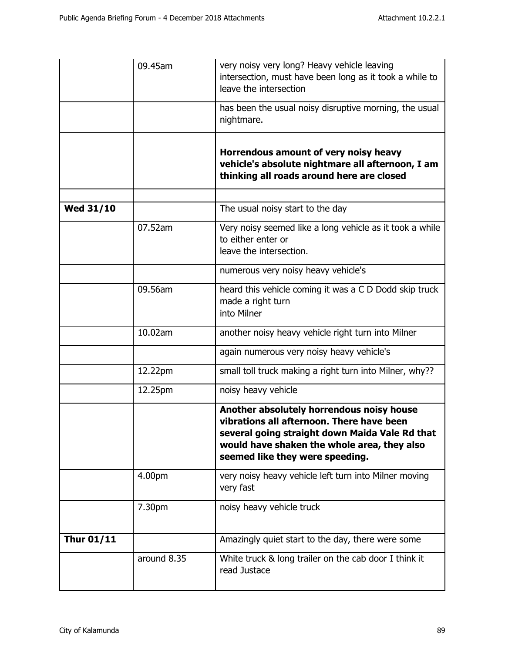|                   | 09.45am     | very noisy very long? Heavy vehicle leaving<br>intersection, must have been long as it took a while to<br>leave the intersection                                                                                           |
|-------------------|-------------|----------------------------------------------------------------------------------------------------------------------------------------------------------------------------------------------------------------------------|
|                   |             | has been the usual noisy disruptive morning, the usual<br>nightmare.                                                                                                                                                       |
|                   |             |                                                                                                                                                                                                                            |
|                   |             | Horrendous amount of very noisy heavy<br>vehicle's absolute nightmare all afternoon, I am<br>thinking all roads around here are closed                                                                                     |
|                   |             |                                                                                                                                                                                                                            |
| <b>Wed 31/10</b>  |             | The usual noisy start to the day                                                                                                                                                                                           |
|                   | 07.52am     | Very noisy seemed like a long vehicle as it took a while<br>to either enter or<br>leave the intersection.                                                                                                                  |
|                   |             | numerous very noisy heavy vehicle's                                                                                                                                                                                        |
|                   | 09.56am     | heard this vehicle coming it was a C D Dodd skip truck<br>made a right turn<br>into Milner                                                                                                                                 |
|                   | 10.02am     | another noisy heavy vehicle right turn into Milner                                                                                                                                                                         |
|                   |             | again numerous very noisy heavy vehicle's                                                                                                                                                                                  |
|                   | 12.22pm     | small toll truck making a right turn into Milner, why??                                                                                                                                                                    |
|                   | 12.25pm     | noisy heavy vehicle                                                                                                                                                                                                        |
|                   |             | Another absolutely horrendous noisy house<br>vibrations all afternoon. There have been<br>several going straight down Maida Vale Rd that<br>would have shaken the whole area, they also<br>seemed like they were speeding. |
|                   | 4.00pm      | very noisy heavy vehicle left turn into Milner moving<br>very fast                                                                                                                                                         |
|                   | 7.30pm      | noisy heavy vehicle truck                                                                                                                                                                                                  |
|                   |             |                                                                                                                                                                                                                            |
| <b>Thur 01/11</b> |             | Amazingly quiet start to the day, there were some                                                                                                                                                                          |
|                   | around 8.35 | White truck & long trailer on the cab door I think it<br>read Justace                                                                                                                                                      |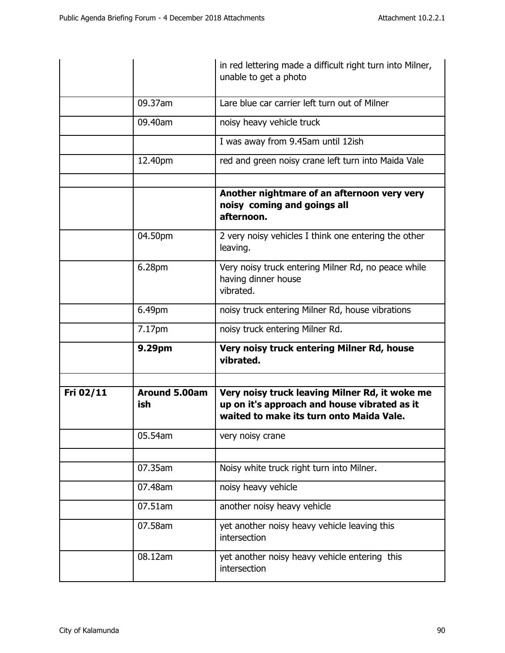|           |                             | in red lettering made a difficult right turn into Milner,<br>unable to get a photo                                                         |
|-----------|-----------------------------|--------------------------------------------------------------------------------------------------------------------------------------------|
|           | 09.37am                     | Lare blue car carrier left turn out of Milner                                                                                              |
|           | 09.40am                     | noisy heavy vehicle truck                                                                                                                  |
|           |                             | I was away from 9.45am until 12ish                                                                                                         |
|           | 12.40pm                     | red and green noisy crane left turn into Maida Vale                                                                                        |
|           |                             | Another nightmare of an afternoon very very<br>noisy coming and goings all<br>afternoon.                                                   |
|           | 04.50pm                     | 2 very noisy vehicles I think one entering the other<br>leaving.                                                                           |
|           | 6.28pm                      | Very noisy truck entering Milner Rd, no peace while<br>having dinner house<br>vibrated.                                                    |
|           | 6.49pm                      | noisy truck entering Milner Rd, house vibrations                                                                                           |
|           | 7.17pm                      | noisy truck entering Milner Rd.                                                                                                            |
|           | 9.29pm                      | Very noisy truck entering Milner Rd, house<br>vibrated.                                                                                    |
| Fri 02/11 | <b>Around 5.00am</b><br>ish | Very noisy truck leaving Milner Rd, it woke me<br>up on it's approach and house vibrated as it<br>waited to make its turn onto Maida Vale. |
|           | 05.54am                     | very noisy crane                                                                                                                           |
|           | 07.35am                     | Noisy white truck right turn into Milner.                                                                                                  |
|           | 07.48am                     | noisy heavy vehicle                                                                                                                        |
|           | 07.51am                     | another noisy heavy vehicle                                                                                                                |
|           | 07.58am                     | yet another noisy heavy vehicle leaving this<br>intersection                                                                               |
|           | 08.12am                     | yet another noisy heavy vehicle entering this<br>intersection                                                                              |